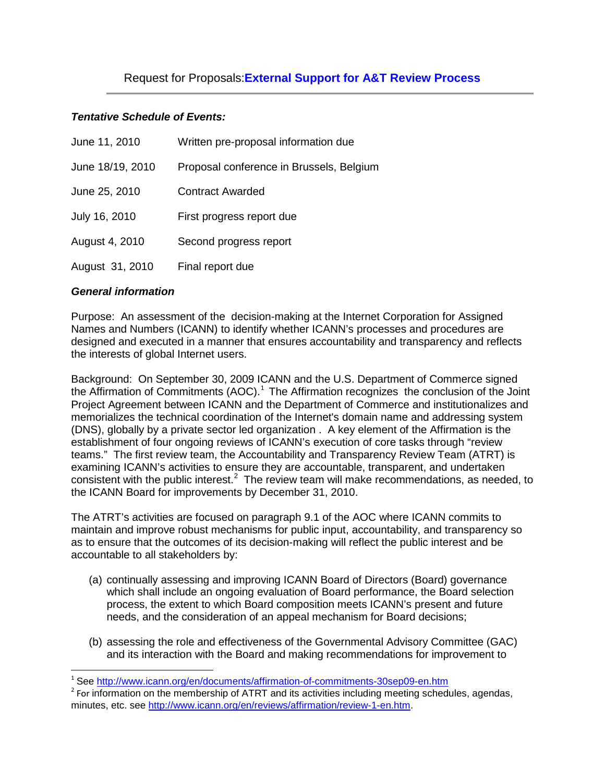# Request for Proposals:**External Support for A&T Review Process**

# *Tentative Schedule of Events:*

| June 11, 2010    | Written pre-proposal information due     |
|------------------|------------------------------------------|
| June 18/19, 2010 | Proposal conference in Brussels, Belgium |
| June 25, 2010    | <b>Contract Awarded</b>                  |
| July 16, 2010    | First progress report due                |
| August 4, 2010   | Second progress report                   |
| August 31, 2010  | Final report due                         |

### *General information*

Purpose: An assessment of the decision-making at the Internet Corporation for Assigned Names and Numbers (ICANN) to identify whether ICANN's processes and procedures are designed and executed in a manner that ensures accountability and transparency and reflects the interests of global Internet users.

Background: On September 30, 2009 ICANN and the U.S. Department of Commerce signed the Affirmation of Commitments (AOC). $1$  The Affirmation recognizes the conclusion of the Joint Project Agreement between ICANN and the Department of Commerce and institutionalizes and memorializes the technical coordination of the Internet's domain name and addressing system (DNS), globally by a private sector led organization . A key element of the Affirmation is the establishment of four ongoing reviews of ICANN's execution of core tasks through "review teams." The first review team, the Accountability and Transparency Review Team (ATRT) is examining ICANN's activities to ensure they are accountable, transparent, and undertaken consistent with the public interest. $2$  The review team will make recommendations, as needed, to the ICANN Board for improvements by December 31, 2010.

The ATRT's activities are focused on paragraph 9.1 of the AOC where ICANN commits to maintain and improve robust mechanisms for public input, accountability, and transparency so as to ensure that the outcomes of its decision-making will reflect the public interest and be accountable to all stakeholders by:

- (a) continually assessing and improving ICANN Board of Directors (Board) governance which shall include an ongoing evaluation of Board performance, the Board selection process, the extent to which Board composition meets ICANN's present and future needs, and the consideration of an appeal mechanism for Board decisions;
- (b) assessing the role and effectiveness of the Governmental Advisory Committee (GAC) and its interaction with the Board and making recommendations for improvement to

<span id="page-0-1"></span>

<span id="page-0-0"></span><sup>&</sup>lt;sup>1</sup> See<http://www.icann.org/en/documents/affirmation-of-commitments-30sep09-en.htm><br><sup>2</sup> For information on the membership of ATRT and its activities including meeting schedules, agendas, minutes, etc. see [http://www.icann.org/en/reviews/affirmation/review-1-en.htm.](http://www.icann.org/en/reviews/affirmation/review-1-en.htm)